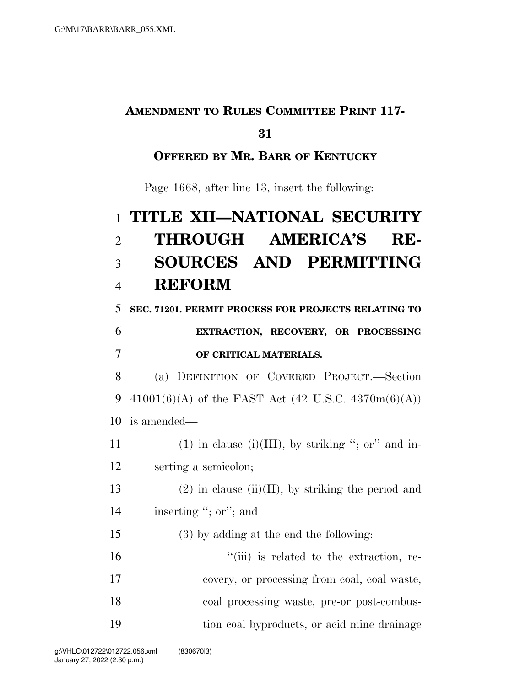## **AMENDMENT TO RULES COMMITTEE PRINT 117-**

#### **31**

### **OFFERED BY MR. BARR OF KENTUCKY**

Page 1668, after line 13, insert the following:

# 1 **TITLE XII—NATIONAL SECURITY**  2 **THROUGH AMERICA'S RE-**3 **SOURCES AND PERMITTING**  4 **REFORM**

5 **SEC. 71201. PERMIT PROCESS FOR PROJECTS RELATING TO** 

# 6 **EXTRACTION, RECOVERY, OR PROCESSING**  7 **OF CRITICAL MATERIALS.**

8 (a) DEFINITION OF COVERED PROJECT.—Section 9 41001(6)(A) of the FAST Act (42 U.S.C. 4370m(6)(A)) 10 is amended—

11 (1) in clause (i)(III), by striking "; or" and in-12 serting a semicolon;

13 (2) in clause (ii)(II), by striking the period and 14 inserting "; or"; and

## 15 (3) by adding at the end the following:

 $"$ (iii) is related to the extraction, re- covery, or processing from coal, coal waste, coal processing waste, pre-or post-combus-tion coal byproducts, or acid mine drainage